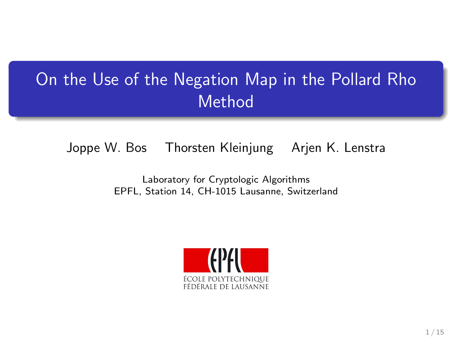# On the Use of the Negation Map in the Pollard Rho Method

#### Joppe W. Bos Thorsten Kleinjung Arjen K. Lenstra

#### Laboratory for Cryptologic Algorithms EPFL, Station 14, CH-1015 Lausanne, Switzerland

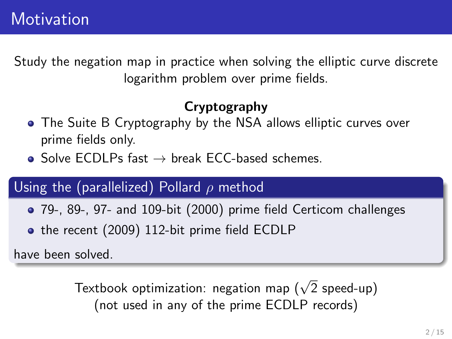Study the negation map in practice when solving the elliptic curve discrete logarithm problem over prime fields.

### Cryptography

- The Suite B Cryptography by the NSA allows elliptic curves over prime fields only.
- $\bullet$  Solve ECDLPs fast  $\rightarrow$  break ECC-based schemes.

### Using the (parallelized) Pollard  $\rho$  method

- 79-, 89-, 97- and 109-bit (2000) prime field Certicom challenges
- the recent (2009) 112-bit prime field ECDLP

have been solved.

Textbook optimization: negation map  $(\sqrt{2}% ,\mathrm{d}\omega)$  speed-up) (not used in any of the prime ECDLP records)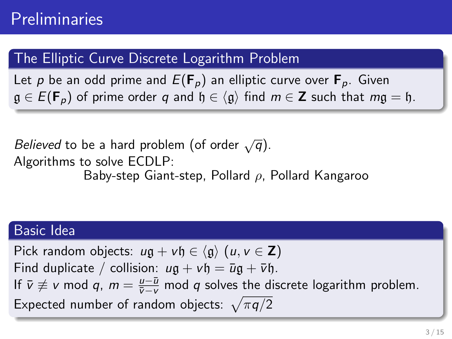### The Elliptic Curve Discrete Logarithm Problem

Let p be an odd prime and  $E(\mathbf{F}_p)$  an elliptic curve over  $\mathbf{F}_p$ . Given  $\mathfrak{g} \in E(\mathbf{F}_n)$  of prime order q and  $\mathfrak{h} \in \langle \mathfrak{g} \rangle$  find  $m \in \mathbb{Z}$  such that  $mq = \mathfrak{h}$ .

Believed to be a hard problem (of order  $\sqrt{q}$ ). Algorithms to solve ECDLP: Baby-step Giant-step, Pollard  $\rho$ , Pollard Kangaroo

#### Basic Idea

Pick random objects:  $u\mathfrak{a} + v\mathfrak{h} \in \langle \mathfrak{a} \rangle$  (u,  $v \in \mathbb{Z}$ ) Find duplicate / collision:  $u\mathfrak{g} + v\mathfrak{h} = \bar{u}\mathfrak{g} + \bar{v}\mathfrak{h}$ . If  $\bar{v} \not\equiv v \mod q$ ,  $m = \frac{u - \bar{u}}{\bar{v} - v} \mod q$  solves the discrete logarithm problem. Expected number of random objects:  $\sqrt{\pi q/2}$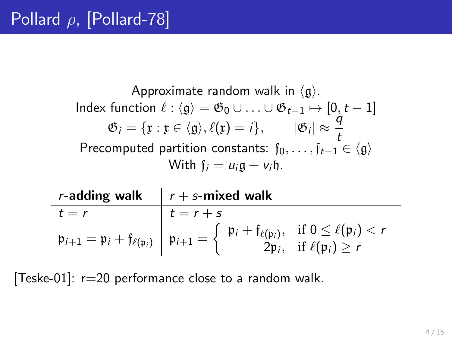Approximate random walk in  $\langle \mathfrak{g} \rangle$ . Index function  $\ell : \langle \mathfrak{g} \rangle = \mathfrak{G}_0 \cup \ldots \cup \mathfrak{G}_{t-1} \mapsto [0, t-1]$  $\mathfrak{G}_i = \{ \mathfrak{x} : \mathfrak{x} \in \langle \mathfrak{g} \rangle, \ell(\mathfrak{x}) = i \}, \qquad |\mathfrak{G}_i| \approx \frac{q}{t}$ Precomputed partition constants:  $f_0, \ldots, f_{t-1} \in \langle \mathfrak{g} \rangle$ With  $f_i = u_i \mathfrak{a} + v_i \mathfrak{h}$ .

|         | <i>r</i> -adding walk $\mid r + s$ -mixed walk                                                                                                                                                                                                                                                                         |
|---------|------------------------------------------------------------------------------------------------------------------------------------------------------------------------------------------------------------------------------------------------------------------------------------------------------------------------|
| $t = r$ | $t = r + s$                                                                                                                                                                                                                                                                                                            |
|         | $\mathfrak{p}_{i+1} = \mathfrak{p}_i + \mathfrak{f}_{\ell(\mathfrak{p}_i)} \left  \mathfrak{p}_{i+1} = \left\{ \begin{array}{ll} \mathfrak{p}_i + \mathfrak{f}_{\ell(\mathfrak{p}_i)}, & \text{if } 0 \leq \ell(\mathfrak{p}_i) < r \\ 2\mathfrak{p}_i, & \text{if } \ell(\mathfrak{p}_i) \geq r \end{array} \right\}$ |

[Teske-01]:  $r=20$  performance close to a random walk.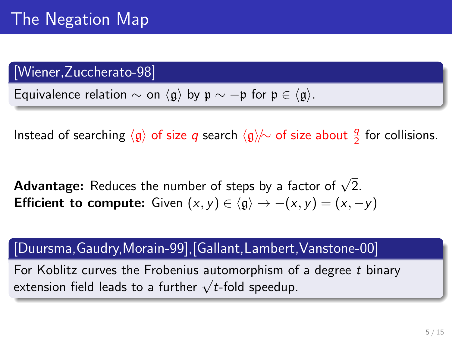### [Wiener,Zuccherato-98]

Equivalence relation  $\sim$  on  $\langle \mathfrak{g} \rangle$  by  $\mathfrak{p} \sim -\mathfrak{p}$  for  $\mathfrak{p} \in \langle \mathfrak{g} \rangle$ .

Instead of searching  $\langle \mathfrak{g} \rangle$  of size  $q$  search  $\langle \mathfrak{g} \rangle \! \! / \! \sim$  of size about  $\frac{q}{2}$  for collisions.

**Advantage:** Reduces the number of steps by a factor of  $\sqrt{2}$ . **Efficient to compute:** Given  $(x, y) \in \langle \mathfrak{g} \rangle \rightarrow -\langle x, y \rangle = \langle x, -y \rangle$ 

[Duursma,Gaudry,Morain-99],[Gallant,Lambert,Vanstone-00]

For Koblitz curves the Frobenius automorphism of a degree t binary extension field leads to a further  $\sqrt{t}$ -fold speedup.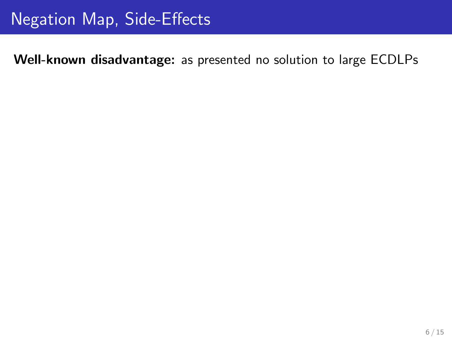Well-known disadvantage: as presented no solution to large ECDLPs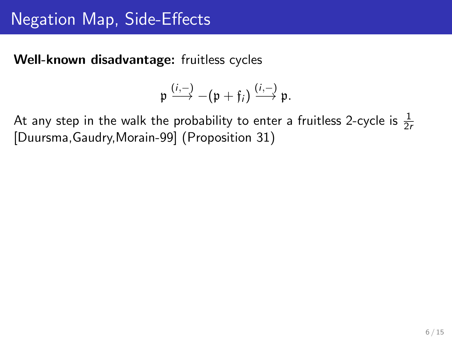Well-known disadvantage: fruitless cycles

$$
\mathfrak{p} \xrightarrow{(i,-)} -(\mathfrak{p} + \mathfrak{f}_i) \xrightarrow{(i,-)} \mathfrak{p}.
$$

At any step in the walk the probability to enter a fruitless 2-cycle is  $\frac{1}{2r}$ [Duursma,Gaudry,Morain-99] (Proposition 31)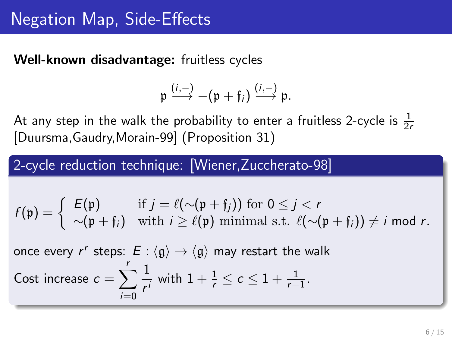Well-known disadvantage: fruitless cycles

$$
\mathfrak{p} \stackrel{(i,-)}{\longrightarrow} -(\mathfrak{p} + \mathfrak{f}_i) \stackrel{(i,-)}{\longrightarrow} \mathfrak{p}.
$$

At any step in the walk the probability to enter a fruitless 2-cycle is  $\frac{1}{2r}$ [Duursma,Gaudry,Morain-99] (Proposition 31)

2-cycle reduction technique: [Wiener,Zuccherato-98]

$$
f(\mathfrak{p}) = \left\{ \begin{array}{ll} E(\mathfrak{p}) & \text{if } j = \ell(\sim(\mathfrak{p} + \mathfrak{f}_j)) \text{ for } 0 \leq j < r \\ \sim(\mathfrak{p} + \mathfrak{f}_i) & \text{with } i \geq \ell(\mathfrak{p}) \text{ minimal s.t. } \ell(\sim(\mathfrak{p} + \mathfrak{f}_i)) \neq i \text{ mod } r. \end{array} \right.
$$

once every  $r^r$  steps:  $E : \langle \mathfrak{g} \rangle \rightarrow \langle \mathfrak{g} \rangle$  may restart the walk Cost increase  $c = \sum_{i=1}^{r}$  $i=0$ 1  $\frac{1}{r'}$  with  $1 + \frac{1}{r} \le c \le 1 + \frac{1}{r-1}$ .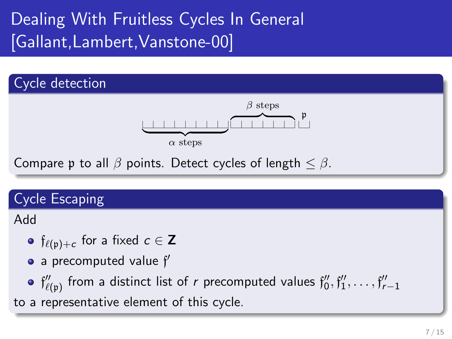# Dealing With Fruitless Cycles In General [Gallant,Lambert,Vanstone-00]



### Cycle Escaping

Add

- $\mathfrak{f}_{\ell(\mathfrak{p})+c}$  for a fixed  $c\in\mathsf{Z}$
- a precomputed value  $f'$
- $\mathfrak{f}''_{\ell(\mathfrak{p})}$  from a distinct list of  $r$  precomputed values  $\mathfrak{f}''_0, \mathfrak{f}''_1, \ldots, \mathfrak{f}''_{r-1}$

to a representative element of this cycle.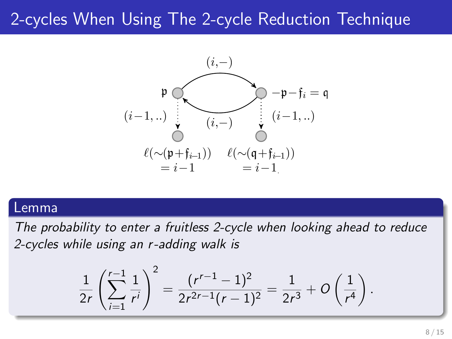### 2-cycles When Using The 2-cycle Reduction Technique



#### Lemma

The probability to enter a fruitless 2-cycle when looking ahead to reduce 2-cycles while using an r -adding walk is

$$
\frac{1}{2r}\left(\sum_{i=1}^{r-1}\frac{1}{r^i}\right)^2=\frac{(r^{r-1}-1)^2}{2r^{2r-1}(r-1)^2}=\frac{1}{2r^3}+O\left(\frac{1}{r^4}\right).
$$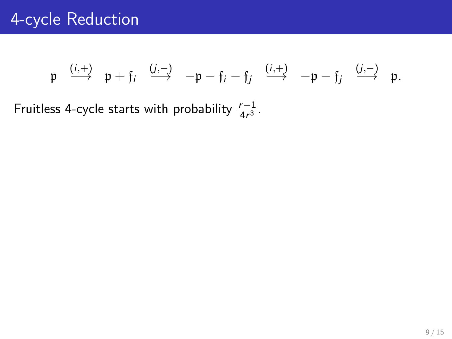$$
\mathfrak{p} \quad \xrightarrow{(i,+)} \quad \mathfrak{p} + \mathfrak{f}_i \quad \xrightarrow{(j,-)} \quad -\mathfrak{p} - \mathfrak{f}_i - \mathfrak{f}_j \quad \xrightarrow{(i,+)} \quad -\mathfrak{p} - \mathfrak{f}_j \quad \xrightarrow{(j,-)} \quad \mathfrak{p}.
$$

Fruitless 4-cycle starts with probability  $\frac{r-1}{4r^3}$ .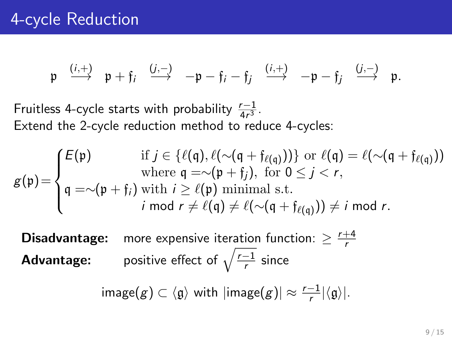$$
\mathfrak{p} \quad \xrightarrow{(i,+)} \quad \mathfrak{p} + \mathfrak{f}_i \quad \xrightarrow{(j,-)} \quad -\mathfrak{p} - \mathfrak{f}_i - \mathfrak{f}_j \quad \xrightarrow{(i,+)} \quad -\mathfrak{p} - \mathfrak{f}_j \quad \xrightarrow{(j,-)} \quad \mathfrak{p}.
$$

Fruitless 4-cycle starts with probability  $\frac{r-1}{4r^3}$ . Extend the 2-cycle reduction method to reduce 4-cycles:

$$
g(\mathfrak{p}) = \begin{cases} E(\mathfrak{p}) & \text{if } j \in \{ \ell(\mathfrak{q}), \ell(\sim(\mathfrak{q} + \mathfrak{f}_{\ell(\mathfrak{q})})) \} \text{ or } \ell(\mathfrak{q}) = \ell(\sim(\mathfrak{q} + \mathfrak{f}_{\ell(\mathfrak{q})})) \\ \text{where } \mathfrak{q} = \sim(\mathfrak{p} + \mathfrak{f}_{j}), \text{ for } 0 \leq j < r, \\ \mathfrak{q} = \sim(\mathfrak{p} + \mathfrak{f}_{j}) \text{ with } i \geq \ell(\mathfrak{p}) \text{ minimal s.t.} \\ i \text{ mod } r \neq \ell(\mathfrak{q}) \neq \ell(\sim(\mathfrak{q} + \mathfrak{f}_{\ell(\mathfrak{q})})) \neq i \text{ mod } r. \end{cases}
$$

**Disadvantage:** more expensive iteration function:  $\geq \frac{r+4}{r}$ r **Advantage:** positive effect of  $\sqrt{\frac{r-1}{r}}$  $\frac{-1}{r}$  since

 $\mathsf{image}(g) \subset \langle \mathfrak{g} \rangle$  with  $|\mathsf{image}(g)| \approx \frac{r-1}{r} |\langle \mathfrak{g} \rangle|.$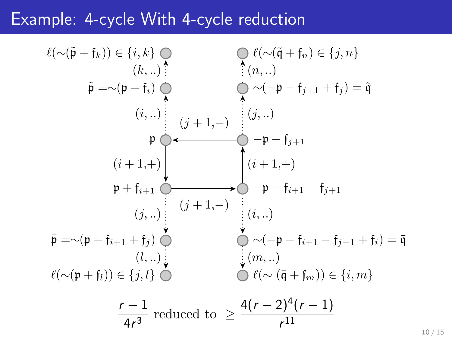### Example: 4-cycle With 4-cycle reduction

$$
\ell(\sim(\tilde{\mathfrak{p}} + \mathfrak{f}_k)) \in \{i, k\} \bigcirc
$$
\n
$$
\tilde{\mathfrak{p}} = \sim(\mathfrak{p} + \mathfrak{f}_i) \bigcirc
$$
\n
$$
\tilde{\mathfrak{p}} = \sim(\mathfrak{p} + \mathfrak{f}_i) \bigcirc
$$
\n
$$
\tilde{\mathfrak{p}} = \sim(\mathfrak{p} + \mathfrak{f}_i) \bigcirc
$$
\n
$$
\mathfrak{p} \longrightarrow (\mathfrak{p} + \mathfrak{f}_i) \bigcirc
$$
\n
$$
\mathfrak{p} \longrightarrow (\mathfrak{p} + \mathfrak{f}_i) \bigcirc
$$
\n
$$
\mathfrak{p} \longrightarrow (\mathfrak{p} + \mathfrak{f}_{i+1}) \bigcirc
$$
\n
$$
\mathfrak{p} \longrightarrow (\mathfrak{p} + \mathfrak{f}_{i+1}) \bigcirc
$$
\n
$$
\mathfrak{p} \longrightarrow (\mathfrak{p} + \mathfrak{f}_{i+1} + \mathfrak{f}_j) \bigcirc
$$
\n
$$
\mathfrak{p} = \sim(\mathfrak{p} + \mathfrak{f}_{i+1} + \mathfrak{f}_j) \bigcirc
$$
\n
$$
\ell(\sim(\bar{\mathfrak{p}} + \mathfrak{f}_l)) \in \{j, l\} \bigcirc
$$
\n
$$
\ell(\sim(\bar{\mathfrak{p}} + \mathfrak{f}_l)) \in \{j, l\} \bigcirc
$$
\n
$$
\mathfrak{p} = \mathfrak{p} \longrightarrow (\mathfrak{p} + \mathfrak{p} + \mathfrak{p} + \mathfrak{p} + \mathfrak{p} + \mathfrak{p} + \mathfrak{p} + \mathfrak{p} + \mathfrak{p} + \mathfrak{p} + \mathfrak{p} + \mathfrak{p} + \mathfrak{p} + \mathfrak{p} + \mathfrak{p} + \mathfrak{p} + \mathfrak{p} + \mathfrak{p} + \mathfrak{p} + \mathfrak{p} + \mathfrak{p} + \mathfrak{p} + \mathfrak{p} + \mathfrak{p} + \mathfrak{p} + \mathfrak{p} + \mathfrak{p} + \mathfrak{p} + \mathfr
$$

10 / 15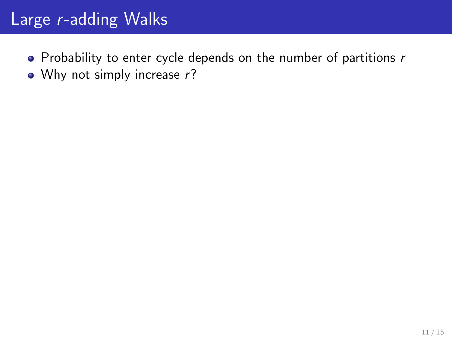### Large r-adding Walks

- $\bullet$  Probability to enter cycle depends on the number of partitions  $r$
- Why not simply increase r?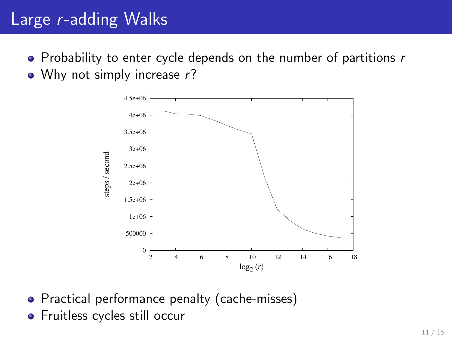## Large r-adding Walks

- $\bullet$  Probability to enter cycle depends on the number of partitions r
- Why not simply increase r?



- Practical performance penalty (cache-misses)
- **•** Fruitless cycles still occur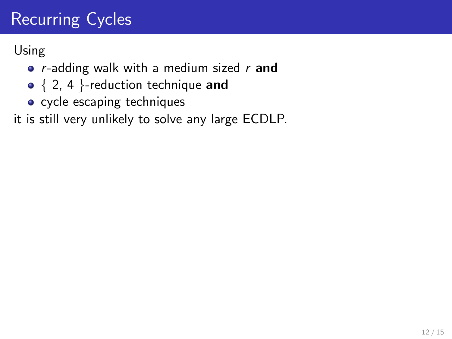# Recurring Cycles

Using

- $r$ -adding walk with a medium sized  $r$  and
- $\bullet \{ 2, 4 \}$ -reduction technique and
- cycle escaping techniques

it is still very unlikely to solve any large ECDLP.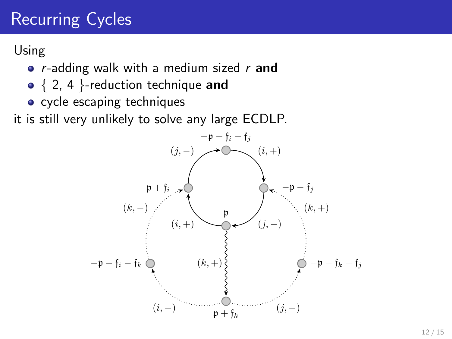# Recurring Cycles

Using

- $r$ -adding walk with a medium sized  $r$  and
- $\bullet \{ 2, 4 \}$ -reduction technique and
- cycle escaping techniques

it is still very unlikely to solve any large ECDLP.

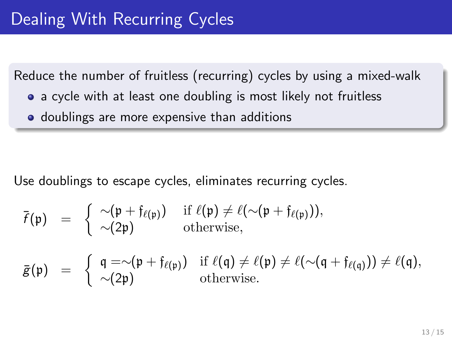Reduce the number of fruitless (recurring) cycles by using a mixed-walk

- a cycle with at least one doubling is most likely not fruitless
- **•** doublings are more expensive than additions

Use doublings to escape cycles, eliminates recurring cycles.

$$
\overline{f}(\mathfrak{p}) = \begin{cases} \sim (\mathfrak{p} + \mathfrak{f}_{\ell(\mathfrak{p})}) & \text{if } \ell(\mathfrak{p}) \neq \ell(\sim (\mathfrak{p} + \mathfrak{f}_{\ell(\mathfrak{p})})), \\ \sim (2\mathfrak{p}) & \text{otherwise}, \end{cases}
$$

$$
\bar{g}(\mathfrak{p}) = \begin{cases} \mathfrak{q} = \sim (\mathfrak{p} + \mathfrak{f}_{\ell(\mathfrak{p})}) & \text{if } \ell(\mathfrak{q}) \neq \ell(\mathfrak{p}) \neq \ell(\sim(\mathfrak{q} + \mathfrak{f}_{\ell(\mathfrak{q})})) \neq \ell(\mathfrak{q}), \\ \sim (2\mathfrak{p}) & \text{otherwise.} \end{cases}
$$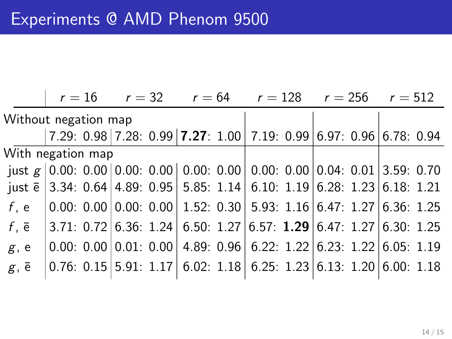|                                                                                                              |  |  |  |  | $r = 16$ $r = 32$ $r = 64$ $r = 128$ $r = 256$ $r = 512$                                                                                                                                                                                                                                          |  |  |  |  |  |  |  |
|--------------------------------------------------------------------------------------------------------------|--|--|--|--|---------------------------------------------------------------------------------------------------------------------------------------------------------------------------------------------------------------------------------------------------------------------------------------------------|--|--|--|--|--|--|--|
| Without negation map                                                                                         |  |  |  |  |                                                                                                                                                                                                                                                                                                   |  |  |  |  |  |  |  |
|                                                                                                              |  |  |  |  | 7.29: 0.98 7.28: 0.99 7.27: 1.00 7.19: 0.99 6.97: 0.96 6.78: 0.94                                                                                                                                                                                                                                 |  |  |  |  |  |  |  |
| With negation map                                                                                            |  |  |  |  |                                                                                                                                                                                                                                                                                                   |  |  |  |  |  |  |  |
| just $g \mid 0.00$ : 0.00 0.00: 0.00 0.00: 0.00 0.00: 0.00 0.04: 0.01 3.59: 0.70                             |  |  |  |  |                                                                                                                                                                                                                                                                                                   |  |  |  |  |  |  |  |
| just $\bar{e}$ 3.34: 0.64 4.89: 0.95 5.85: 1.14 6.10: 1.19 6.28: 1.23 6.18: 1.21                             |  |  |  |  |                                                                                                                                                                                                                                                                                                   |  |  |  |  |  |  |  |
| f, e $\vert 0.00: 0.00 \vert 0.00: 0.00 \vert 1.52: 0.30 \vert 5.93: 1.16 \vert 6.47: 1.27 \vert 6.36: 1.25$ |  |  |  |  |                                                                                                                                                                                                                                                                                                   |  |  |  |  |  |  |  |
| $f, \bar{e}$                                                                                                 |  |  |  |  | $ 3.71: 0.72 6.36: 1.24 6.50: 1.27 6.57: 1.29 6.47: 1.27 6.30: 1.25$                                                                                                                                                                                                                              |  |  |  |  |  |  |  |
| g, e                                                                                                         |  |  |  |  | $ 0.00: 0.00 0.01: 0.00 4.89: 0.96 6.22: 1.22 6.23: 1.22 6.05: 1.19$                                                                                                                                                                                                                              |  |  |  |  |  |  |  |
| $g, \bar{e}$                                                                                                 |  |  |  |  | $\vert 0.76: 0.15 \vert 5.91: 1.17 \vert 6.02: 1.18 \vert 6.25: 1.23 \vert 6.13: 1.20 \vert 6.00: 1.18 \vert 6.01: 1.16 \vert 6.00: 1.18 \vert 6.00: 1.18 \vert 6.00: 1.18 \vert 6.00: 1.18 \vert 6.00: 1.18 \vert 6.00: 1.18 \vert 6.00: 1.18 \vert 6.00: 1.18 \vert 6.00: 1.18 \vert 6.00: 1.1$ |  |  |  |  |  |  |  |